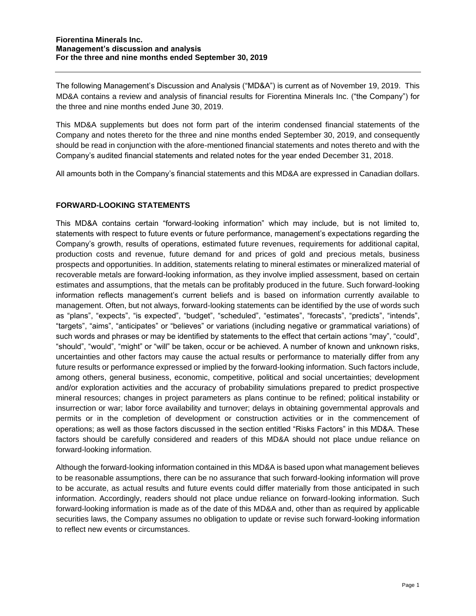The following Management's Discussion and Analysis ("MD&A") is current as of November 19, 2019. This MD&A contains a review and analysis of financial results for Fiorentina Minerals Inc. ("the Company") for the three and nine months ended June 30, 2019.

This MD&A supplements but does not form part of the interim condensed financial statements of the Company and notes thereto for the three and nine months ended September 30, 2019, and consequently should be read in conjunction with the afore-mentioned financial statements and notes thereto and with the Company's audited financial statements and related notes for the year ended December 31, 2018.

All amounts both in the Company's financial statements and this MD&A are expressed in Canadian dollars.

# **FORWARD-LOOKING STATEMENTS**

This MD&A contains certain "forward-looking information" which may include, but is not limited to, statements with respect to future events or future performance, management's expectations regarding the Company's growth, results of operations, estimated future revenues, requirements for additional capital, production costs and revenue, future demand for and prices of gold and precious metals, business prospects and opportunities. In addition, statements relating to mineral estimates or mineralized material of recoverable metals are forward-looking information, as they involve implied assessment, based on certain estimates and assumptions, that the metals can be profitably produced in the future. Such forward-looking information reflects management's current beliefs and is based on information currently available to management. Often, but not always, forward-looking statements can be identified by the use of words such as "plans", "expects", "is expected", "budget", "scheduled", "estimates", "forecasts", "predicts", "intends", "targets", "aims", "anticipates" or "believes" or variations (including negative or grammatical variations) of such words and phrases or may be identified by statements to the effect that certain actions "may", "could", "should", "would", "might" or "will" be taken, occur or be achieved. A number of known and unknown risks, uncertainties and other factors may cause the actual results or performance to materially differ from any future results or performance expressed or implied by the forward-looking information. Such factors include, among others, general business, economic, competitive, political and social uncertainties; development and/or exploration activities and the accuracy of probability simulations prepared to predict prospective mineral resources; changes in project parameters as plans continue to be refined; political instability or insurrection or war; labor force availability and turnover; delays in obtaining governmental approvals and permits or in the completion of development or construction activities or in the commencement of operations; as well as those factors discussed in the section entitled "Risks Factors" in this MD&A. These factors should be carefully considered and readers of this MD&A should not place undue reliance on forward-looking information.

Although the forward-looking information contained in this MD&A is based upon what management believes to be reasonable assumptions, there can be no assurance that such forward-looking information will prove to be accurate, as actual results and future events could differ materially from those anticipated in such information. Accordingly, readers should not place undue reliance on forward-looking information. Such forward-looking information is made as of the date of this MD&A and, other than as required by applicable securities laws, the Company assumes no obligation to update or revise such forward-looking information to reflect new events or circumstances.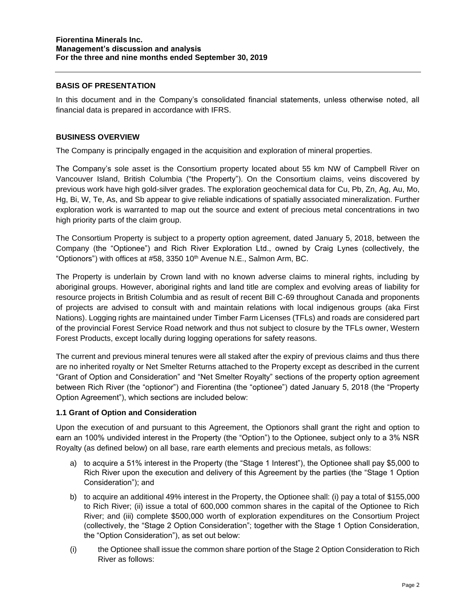## **BASIS OF PRESENTATION**

In this document and in the Company's consolidated financial statements, unless otherwise noted, all financial data is prepared in accordance with IFRS.

### **BUSINESS OVERVIEW**

The Company is principally engaged in the acquisition and exploration of mineral properties.

The Company's sole asset is the Consortium property located about 55 km NW of Campbell River on Vancouver Island, British Columbia ("the Property"). On the Consortium claims, veins discovered by previous work have high gold-silver grades. The exploration geochemical data for Cu, Pb, Zn, Ag, Au, Mo, Hg, Bi, W, Te, As, and Sb appear to give reliable indications of spatially associated mineralization. Further exploration work is warranted to map out the source and extent of precious metal concentrations in two high priority parts of the claim group.

The Consortium Property is subject to a property option agreement, dated January 5, 2018, between the Company (the "Optionee") and Rich River Exploration Ltd., owned by Craig Lynes (collectively, the "Optionors") with offices at #58, 3350 10<sup>th</sup> Avenue N.E., Salmon Arm, BC.

The Property is underlain by Crown land with no known adverse claims to mineral rights, including by aboriginal groups. However, aboriginal rights and land title are complex and evolving areas of liability for resource projects in British Columbia and as result of recent Bill C-69 throughout Canada and proponents of projects are advised to consult with and maintain relations with local indigenous groups (aka First Nations). Logging rights are maintained under Timber Farm Licenses (TFLs) and roads are considered part of the provincial Forest Service Road network and thus not subject to closure by the TFLs owner, Western Forest Products, except locally during logging operations for safety reasons.

The current and previous mineral tenures were all staked after the expiry of previous claims and thus there are no inherited royalty or Net Smelter Returns attached to the Property except as described in the current "Grant of Option and Consideration" and "Net Smelter Royalty" sections of the property option agreement between Rich River (the "optionor") and Fiorentina (the "optionee") dated January 5, 2018 (the "Property Option Agreement"), which sections are included below:

#### **1.1 Grant of Option and Consideration**

Upon the execution of and pursuant to this Agreement, the Optionors shall grant the right and option to earn an 100% undivided interest in the Property (the "Option") to the Optionee, subject only to a 3% NSR Royalty (as defined below) on all base, rare earth elements and precious metals, as follows:

- a) to acquire a 51% interest in the Property (the "Stage 1 Interest"), the Optionee shall pay \$5,000 to Rich River upon the execution and delivery of this Agreement by the parties (the "Stage 1 Option Consideration"); and
- b) to acquire an additional 49% interest in the Property, the Optionee shall: (i) pay a total of \$155,000 to Rich River; (ii) issue a total of 600,000 common shares in the capital of the Optionee to Rich River; and (iii) complete \$500,000 worth of exploration expenditures on the Consortium Project (collectively, the "Stage 2 Option Consideration"; together with the Stage 1 Option Consideration, the "Option Consideration"), as set out below:
- (i) the Optionee shall issue the common share portion of the Stage 2 Option Consideration to Rich River as follows: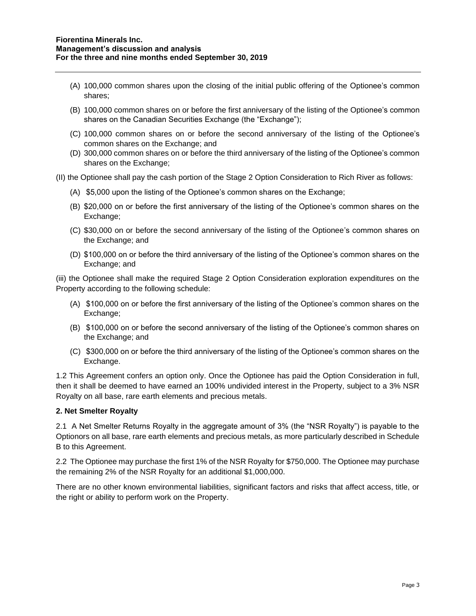- (A) 100,000 common shares upon the closing of the initial public offering of the Optionee's common shares;
- (B) 100,000 common shares on or before the first anniversary of the listing of the Optionee's common shares on the Canadian Securities Exchange (the "Exchange");
- (C) 100,000 common shares on or before the second anniversary of the listing of the Optionee's common shares on the Exchange; and
- (D) 300,000 common shares on or before the third anniversary of the listing of the Optionee's common shares on the Exchange;

(II) the Optionee shall pay the cash portion of the Stage 2 Option Consideration to Rich River as follows:

- (A) \$5,000 upon the listing of the Optionee's common shares on the Exchange;
- (B) \$20,000 on or before the first anniversary of the listing of the Optionee's common shares on the Exchange;
- (C) \$30,000 on or before the second anniversary of the listing of the Optionee's common shares on the Exchange; and
- (D) \$100,000 on or before the third anniversary of the listing of the Optionee's common shares on the Exchange; and

(iii) the Optionee shall make the required Stage 2 Option Consideration exploration expenditures on the Property according to the following schedule:

- (A) \$100,000 on or before the first anniversary of the listing of the Optionee's common shares on the Exchange;
- (B) \$100,000 on or before the second anniversary of the listing of the Optionee's common shares on the Exchange; and
- (C) \$300,000 on or before the third anniversary of the listing of the Optionee's common shares on the Exchange.

1.2 This Agreement confers an option only. Once the Optionee has paid the Option Consideration in full, then it shall be deemed to have earned an 100% undivided interest in the Property, subject to a 3% NSR Royalty on all base, rare earth elements and precious metals.

## **2. Net Smelter Royalty**

2.1 A Net Smelter Returns Royalty in the aggregate amount of 3% (the "NSR Royalty") is payable to the Optionors on all base, rare earth elements and precious metals, as more particularly described in Schedule B to this Agreement.

2.2 The Optionee may purchase the first 1% of the NSR Royalty for \$750,000. The Optionee may purchase the remaining 2% of the NSR Royalty for an additional \$1,000,000.

There are no other known environmental liabilities, significant factors and risks that affect access, title, or the right or ability to perform work on the Property.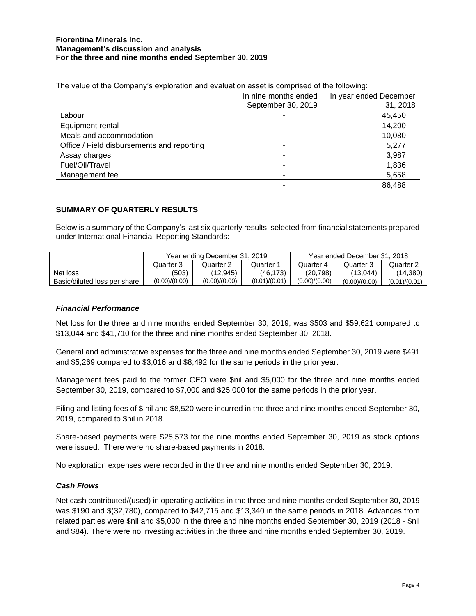|                                            | In nine months ended | In year ended December |
|--------------------------------------------|----------------------|------------------------|
|                                            | September 30, 2019   | 31, 2018               |
| Labour                                     |                      | 45,450                 |
| Equipment rental                           |                      | 14,200                 |
| Meals and accommodation                    |                      | 10,080                 |
| Office / Field disbursements and reporting |                      | 5,277                  |
| Assay charges                              |                      | 3,987                  |
| Fuel/Oil/Travel                            |                      | 1,836                  |
| Management fee                             |                      | 5,658                  |
|                                            |                      | 86,488                 |

The value of the Company's exploration and evaluation asset is comprised of the following:

### **SUMMARY OF QUARTERLY RESULTS**

Below is a summary of the Company's last six quarterly results, selected from financial statements prepared under International Financial Reporting Standards:

|                              | Year ending December 31, 2019 |               |               | Year ended December 31, 2018 |               |               |
|------------------------------|-------------------------------|---------------|---------------|------------------------------|---------------|---------------|
|                              | Quarter 3                     | Quarter 2     | Quarter 1     | Quarter 4                    | Quarter 3     | Quarter 2     |
| Net loss                     | (503)                         | (12.945)      | (46.173)      | (20.798)                     | (13.044)      | (14, 380)     |
| Basic/diluted loss per share | (0.00)/(0.00)                 | (0.00)/(0.00) | (0.01)/(0.01) | (0.00)/(0.00)                | (0.00)/(0.00) | (0.01)/(0.01) |

#### *Financial Performance*

Net loss for the three and nine months ended September 30, 2019, was \$503 and \$59,621 compared to \$13,044 and \$41,710 for the three and nine months ended September 30, 2018.

General and administrative expenses for the three and nine months ended September 30, 2019 were \$491 and \$5,269 compared to \$3,016 and \$8,492 for the same periods in the prior year.

Management fees paid to the former CEO were \$nil and \$5,000 for the three and nine months ended September 30, 2019, compared to \$7,000 and \$25,000 for the same periods in the prior year.

Filing and listing fees of \$ nil and \$8,520 were incurred in the three and nine months ended September 30, 2019, compared to \$nil in 2018.

Share-based payments were \$25,573 for the nine months ended September 30, 2019 as stock options were issued. There were no share-based payments in 2018.

No exploration expenses were recorded in the three and nine months ended September 30, 2019.

#### *Cash Flows*

Net cash contributed/(used) in operating activities in the three and nine months ended September 30, 2019 was \$190 and \$(32,780), compared to \$42,715 and \$13,340 in the same periods in 2018. Advances from related parties were \$nil and \$5,000 in the three and nine months ended September 30, 2019 (2018 - \$nil and \$84). There were no investing activities in the three and nine months ended September 30, 2019.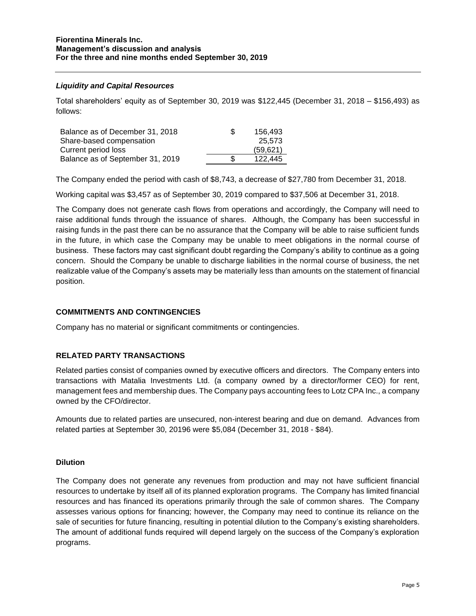## *Liquidity and Capital Resources*

Total shareholders' equity as of September 30, 2019 was \$122,445 (December 31, 2018 – \$156,493) as follows:

| Balance as of December 31, 2018  | 156.493  |
|----------------------------------|----------|
| Share-based compensation         | 25.573   |
| Current period loss              | (59.621) |
| Balance as of September 31, 2019 | 122.445  |

The Company ended the period with cash of \$8,743, a decrease of \$27,780 from December 31, 2018.

Working capital was \$3,457 as of September 30, 2019 compared to \$37,506 at December 31, 2018.

The Company does not generate cash flows from operations and accordingly, the Company will need to raise additional funds through the issuance of shares. Although, the Company has been successful in raising funds in the past there can be no assurance that the Company will be able to raise sufficient funds in the future, in which case the Company may be unable to meet obligations in the normal course of business. These factors may cast significant doubt regarding the Company's ability to continue as a going concern. Should the Company be unable to discharge liabilities in the normal course of business, the net realizable value of the Company's assets may be materially less than amounts on the statement of financial position.

## **COMMITMENTS AND CONTINGENCIES**

Company has no material or significant commitments or contingencies.

#### **RELATED PARTY TRANSACTIONS**

Related parties consist of companies owned by executive officers and directors. The Company enters into transactions with Matalia Investments Ltd. (a company owned by a director/former CEO) for rent, management fees and membership dues. The Company pays accounting fees to Lotz CPA Inc., a company owned by the CFO/director.

Amounts due to related parties are unsecured, non-interest bearing and due on demand. Advances from related parties at September 30, 20196 were \$5,084 (December 31, 2018 - \$84).

#### **Dilution**

The Company does not generate any revenues from production and may not have sufficient financial resources to undertake by itself all of its planned exploration programs. The Company has limited financial resources and has financed its operations primarily through the sale of common shares. The Company assesses various options for financing; however, the Company may need to continue its reliance on the sale of securities for future financing, resulting in potential dilution to the Company's existing shareholders. The amount of additional funds required will depend largely on the success of the Company's exploration programs.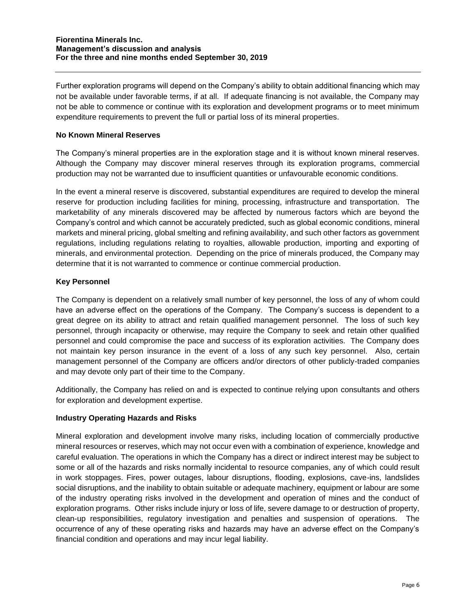Further exploration programs will depend on the Company's ability to obtain additional financing which may not be available under favorable terms, if at all. If adequate financing is not available, the Company may not be able to commence or continue with its exploration and development programs or to meet minimum expenditure requirements to prevent the full or partial loss of its mineral properties.

## **No Known Mineral Reserves**

The Company's mineral properties are in the exploration stage and it is without known mineral reserves. Although the Company may discover mineral reserves through its exploration programs, commercial production may not be warranted due to insufficient quantities or unfavourable economic conditions.

In the event a mineral reserve is discovered, substantial expenditures are required to develop the mineral reserve for production including facilities for mining, processing, infrastructure and transportation. The marketability of any minerals discovered may be affected by numerous factors which are beyond the Company's control and which cannot be accurately predicted, such as global economic conditions, mineral markets and mineral pricing, global smelting and refining availability, and such other factors as government regulations, including regulations relating to royalties, allowable production, importing and exporting of minerals, and environmental protection. Depending on the price of minerals produced, the Company may determine that it is not warranted to commence or continue commercial production.

### **Key Personnel**

The Company is dependent on a relatively small number of key personnel, the loss of any of whom could have an adverse effect on the operations of the Company. The Company's success is dependent to a great degree on its ability to attract and retain qualified management personnel. The loss of such key personnel, through incapacity or otherwise, may require the Company to seek and retain other qualified personnel and could compromise the pace and success of its exploration activities. The Company does not maintain key person insurance in the event of a loss of any such key personnel. Also, certain management personnel of the Company are officers and/or directors of other publicly-traded companies and may devote only part of their time to the Company.

Additionally, the Company has relied on and is expected to continue relying upon consultants and others for exploration and development expertise.

#### **Industry Operating Hazards and Risks**

Mineral exploration and development involve many risks, including location of commercially productive mineral resources or reserves, which may not occur even with a combination of experience, knowledge and careful evaluation. The operations in which the Company has a direct or indirect interest may be subject to some or all of the hazards and risks normally incidental to resource companies, any of which could result in work stoppages. Fires, power outages, labour disruptions, flooding, explosions, cave-ins, landslides social disruptions, and the inability to obtain suitable or adequate machinery, equipment or labour are some of the industry operating risks involved in the development and operation of mines and the conduct of exploration programs. Other risks include injury or loss of life, severe damage to or destruction of property, clean-up responsibilities, regulatory investigation and penalties and suspension of operations. The occurrence of any of these operating risks and hazards may have an adverse effect on the Company's financial condition and operations and may incur legal liability.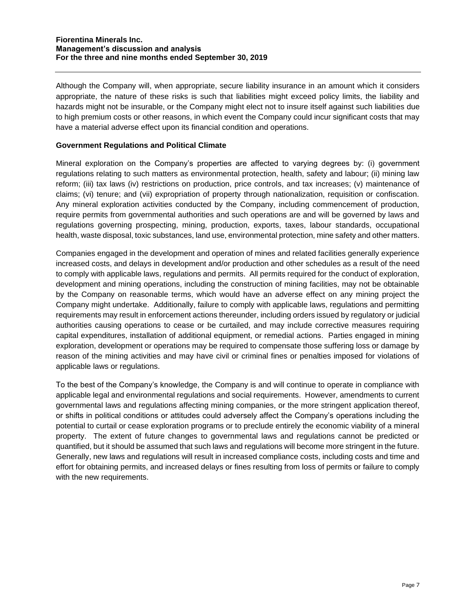Although the Company will, when appropriate, secure liability insurance in an amount which it considers appropriate, the nature of these risks is such that liabilities might exceed policy limits, the liability and hazards might not be insurable, or the Company might elect not to insure itself against such liabilities due to high premium costs or other reasons, in which event the Company could incur significant costs that may have a material adverse effect upon its financial condition and operations.

### **Government Regulations and Political Climate**

Mineral exploration on the Company's properties are affected to varying degrees by: (i) government regulations relating to such matters as environmental protection, health, safety and labour; (ii) mining law reform; (iii) tax laws (iv) restrictions on production, price controls, and tax increases; (v) maintenance of claims; (vi) tenure; and (vii) expropriation of property through nationalization, requisition or confiscation. Any mineral exploration activities conducted by the Company, including commencement of production, require permits from governmental authorities and such operations are and will be governed by laws and regulations governing prospecting, mining, production, exports, taxes, labour standards, occupational health, waste disposal, toxic substances, land use, environmental protection, mine safety and other matters.

Companies engaged in the development and operation of mines and related facilities generally experience increased costs, and delays in development and/or production and other schedules as a result of the need to comply with applicable laws, regulations and permits. All permits required for the conduct of exploration, development and mining operations, including the construction of mining facilities, may not be obtainable by the Company on reasonable terms, which would have an adverse effect on any mining project the Company might undertake. Additionally, failure to comply with applicable laws, regulations and permitting requirements may result in enforcement actions thereunder, including orders issued by regulatory or judicial authorities causing operations to cease or be curtailed, and may include corrective measures requiring capital expenditures, installation of additional equipment, or remedial actions. Parties engaged in mining exploration, development or operations may be required to compensate those suffering loss or damage by reason of the mining activities and may have civil or criminal fines or penalties imposed for violations of applicable laws or regulations.

To the best of the Company's knowledge, the Company is and will continue to operate in compliance with applicable legal and environmental regulations and social requirements. However, amendments to current governmental laws and regulations affecting mining companies, or the more stringent application thereof, or shifts in political conditions or attitudes could adversely affect the Company's operations including the potential to curtail or cease exploration programs or to preclude entirely the economic viability of a mineral property. The extent of future changes to governmental laws and regulations cannot be predicted or quantified, but it should be assumed that such laws and regulations will become more stringent in the future. Generally, new laws and regulations will result in increased compliance costs, including costs and time and effort for obtaining permits, and increased delays or fines resulting from loss of permits or failure to comply with the new requirements.